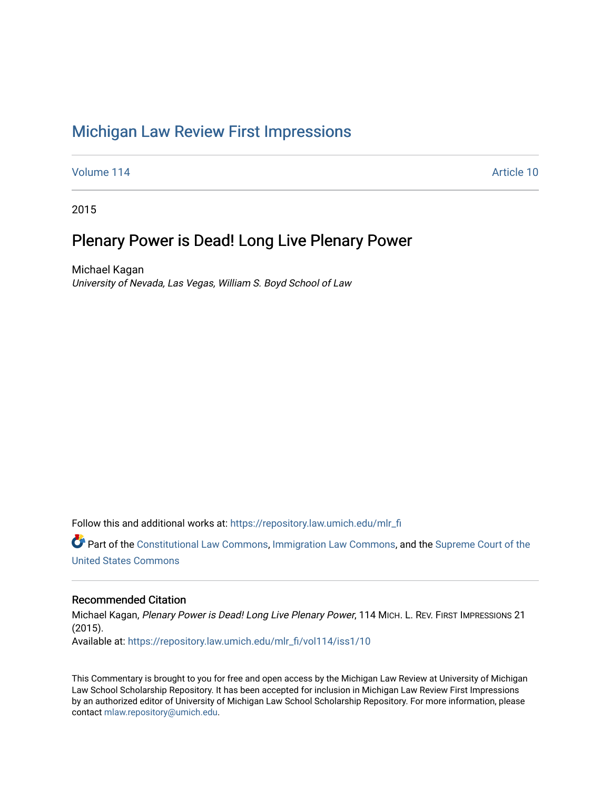# [Michigan Law Review First Impressions](https://repository.law.umich.edu/mlr_fi)

[Volume 114](https://repository.law.umich.edu/mlr_fi/vol114) Article 10

2015

## Plenary Power is Dead! Long Live Plenary Power

Michael Kagan University of Nevada, Las Vegas, William S. Boyd School of Law

Follow this and additional works at: [https://repository.law.umich.edu/mlr\\_fi](https://repository.law.umich.edu/mlr_fi?utm_source=repository.law.umich.edu%2Fmlr_fi%2Fvol114%2Fiss1%2F10&utm_medium=PDF&utm_campaign=PDFCoverPages) 

Part of the [Constitutional Law Commons,](http://network.bepress.com/hgg/discipline/589?utm_source=repository.law.umich.edu%2Fmlr_fi%2Fvol114%2Fiss1%2F10&utm_medium=PDF&utm_campaign=PDFCoverPages) [Immigration Law Commons](http://network.bepress.com/hgg/discipline/604?utm_source=repository.law.umich.edu%2Fmlr_fi%2Fvol114%2Fiss1%2F10&utm_medium=PDF&utm_campaign=PDFCoverPages), and the Supreme Court of the [United States Commons](http://network.bepress.com/hgg/discipline/1350?utm_source=repository.law.umich.edu%2Fmlr_fi%2Fvol114%2Fiss1%2F10&utm_medium=PDF&utm_campaign=PDFCoverPages) 

## Recommended Citation

Michael Kagan, Plenary Power is Dead! Long Live Plenary Power, 114 MICH. L. REV. FIRST IMPRESSIONS 21 (2015). Available at: [https://repository.law.umich.edu/mlr\\_fi/vol114/iss1/10](https://repository.law.umich.edu/mlr_fi/vol114/iss1/10?utm_source=repository.law.umich.edu%2Fmlr_fi%2Fvol114%2Fiss1%2F10&utm_medium=PDF&utm_campaign=PDFCoverPages) 

This Commentary is brought to you for free and open access by the Michigan Law Review at University of Michigan Law School Scholarship Repository. It has been accepted for inclusion in Michigan Law Review First Impressions by an authorized editor of University of Michigan Law School Scholarship Repository. For more information, please contact [mlaw.repository@umich.edu](mailto:mlaw.repository@umich.edu).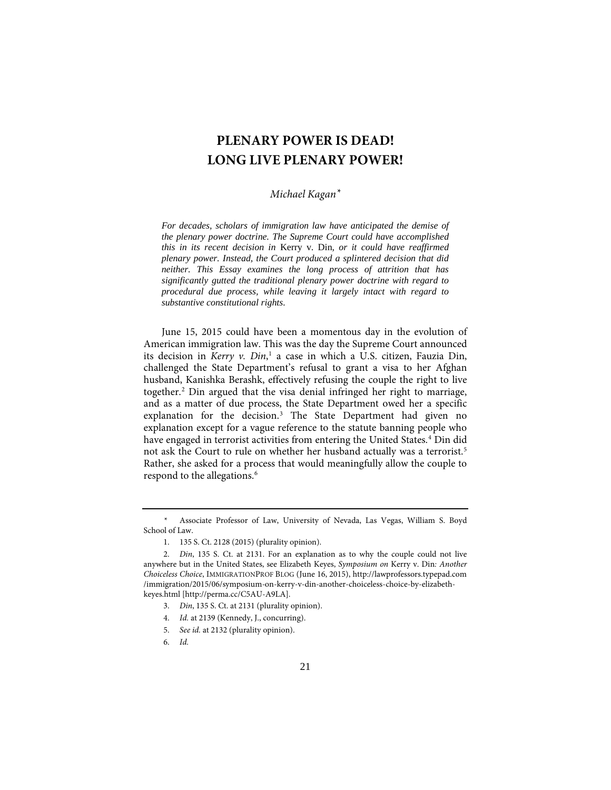## **PLENARY POWER IS DEAD! LONG LIVE PLENARY POWER!**

## *Michael Kagan[\\*](#page-1-0)*

*For decades, scholars of immigration law have anticipated the demise of the plenary power doctrine. The Supreme Court could have accomplished this in its recent decision in* Kerry v. Din*, or it could have reaffirmed plenary power. Instead, the Court produced a splintered decision that did neither. This Essay examines the long process of attrition that has significantly gutted the traditional plenary power doctrine with regard to procedural due process, while leaving it largely intact with regard to substantive constitutional rights.*

June 15, 2015 could have been a momentous day in the evolution of American immigration law. This was the day the Supreme Court announced its decision in *Kerry v. Din*, [1](#page-1-1) a case in which a U.S. citizen, Fauzia Din, challenged the State Department's refusal to grant a visa to her Afghan husband, Kanishka Berashk, effectively refusing the couple the right to live together.[2](#page-1-2) Din argued that the visa denial infringed her right to marriage, and as a matter of due process, the State Department owed her a specific explanation for the decision.<sup>[3](#page-1-3)</sup> The State Department had given no explanation except for a vague reference to the statute banning people who have engaged in terrorist activities from entering the United States. [4](#page-1-4) Din did not ask the Court to rule on whether her husband actually was a terrorist.[5](#page-1-5) Rather, she asked for a process that would meaningfully allow the couple to respond to the allegations.<sup>[6](#page-1-6)</sup>

<span id="page-1-0"></span> <sup>\*</sup> Associate Professor of Law, University of Nevada, Las Vegas, William S. Boyd School of Law.

 <sup>1. 135</sup> S. Ct. 2128 (2015) (plurality opinion).

<span id="page-1-5"></span><span id="page-1-4"></span><span id="page-1-3"></span><span id="page-1-2"></span><span id="page-1-1"></span> <sup>2.</sup> *Din*, 135 S. Ct. at 2131. For an explanation as to why the couple could not live anywhere but in the United States, see Elizabeth Keyes, *Symposium on* Kerry v. Din*: Another Choiceless Choice*, IMMIGRATIONPROF BLOG (June 16, 2015), http://lawprofessors.typepad.com /immigration/2015/06/symposium-on-kerry-v-din-another-choiceless-choice-by-elizabethkeyes.html [http://perma.cc/C5AU-A9LA].

 <sup>3.</sup> *Din*, 135 S. Ct. at 2131 (plurality opinion).

 <sup>4.</sup> *Id.* at 2139 (Kennedy, J., concurring).

 <sup>5.</sup> *See id.* at 2132 (plurality opinion).

<span id="page-1-6"></span> <sup>6.</sup> *Id.*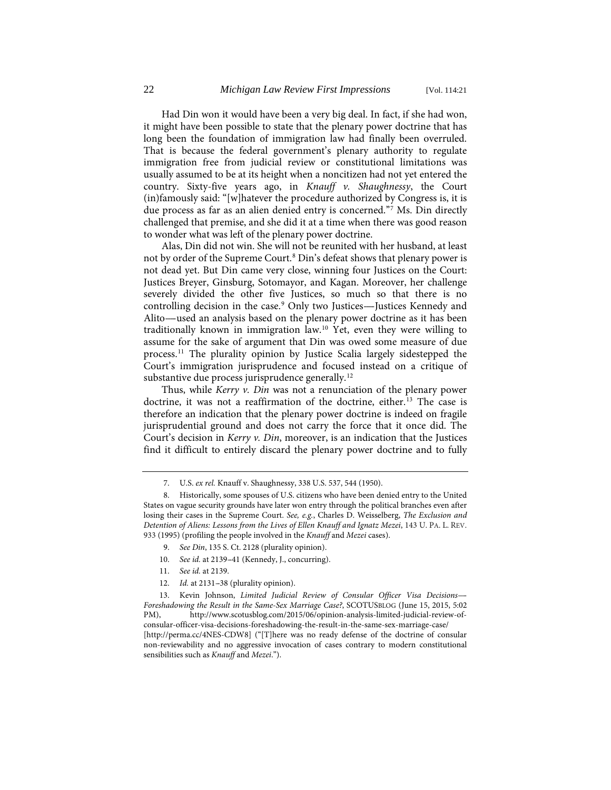Had Din won it would have been a very big deal. In fact, if she had won, it might have been possible to state that the plenary power doctrine that has long been the foundation of immigration law had finally been overruled. That is because the federal government's plenary authority to regulate immigration free from judicial review or constitutional limitations was usually assumed to be at its height when a noncitizen had not yet entered the country. Sixty-five years ago, in *Knauff v. Shaughnessy*, the Court (in)famously said: ''[w]hatever the procedure authorized by Congress is, it is due process as far as an alien denied entry is concerned.''[7](#page-2-0) Ms. Din directly challenged that premise, and she did it at a time when there was good reason to wonder what was left of the plenary power doctrine.

Alas, Din did not win. She will not be reunited with her husband, at least not by order of the Supreme Court.<sup>[8](#page-2-1)</sup> Din's defeat shows that plenary power is not dead yet. But Din came very close, winning four Justices on the Court: Justices Breyer, Ginsburg, Sotomayor, and Kagan. Moreover, her challenge severely divided the other five Justices, so much so that there is no controlling decision in the case.<sup>[9](#page-2-2)</sup> Only two Justices---Justices Kennedy and Alito-used an analysis based on the plenary power doctrine as it has been traditionally known in immigration law.[10](#page-2-3) Yet, even they were willing to assume for the sake of argument that Din was owed some measure of due process.[11](#page-2-4) The plurality opinion by Justice Scalia largely sidestepped the Court's immigration jurisprudence and focused instead on a critique of substantive due process jurisprudence generally.<sup>[12](#page-2-5)</sup>

Thus, while *Kerry v. Din* was not a renunciation of the plenary power doctrine, it was not a reaffirmation of the doctrine, either.<sup>[13](#page-2-6)</sup> The case is therefore an indication that the plenary power doctrine is indeed on fragile jurisprudential ground and does not carry the force that it once did. The Court's decision in *Kerry v. Din*, moreover, is an indication that the Justices find it difficult to entirely discard the plenary power doctrine and to fully

- 9. *See Din*, 135 S. Ct. 2128 (plurality opinion).
- 10. *See id.* at 2139-41 (Kennedy, J., concurring).
- 11. *See id.* at 2139.
- 12. *Id.* at 2131-38 (plurality opinion).

<span id="page-2-6"></span><span id="page-2-5"></span><span id="page-2-4"></span><span id="page-2-3"></span><span id="page-2-2"></span>13. Kevin Johnson, *Limited Judicial Review of Consular Officer Visa Decisions---- Foreshadowing the Result in the Same-Sex Marriage Case?*, SCOTUSBLOG (June 15, 2015, 5:02 PM), http://www.scotusblog.com/2015/06/opinion-analysis-limited-judicial-review-ofconsular-officer-visa-decisions-foreshadowing-the-result-in-the-same-sex-marriage-case/ [http://perma.cc/4NES-CDW8] ("[T]here was no ready defense of the doctrine of consular non-reviewability and no aggressive invocation of cases contrary to modern constitutional sensibilities such as *Knauff* and *Mezei*.'').

 <sup>7.</sup> U.S. *ex rel.* Knauff v. Shaughnessy, 338 U.S. 537, 544 (1950).

<span id="page-2-1"></span><span id="page-2-0"></span> <sup>8.</sup> Historically, some spouses of U.S. citizens who have been denied entry to the United States on vague security grounds have later won entry through the political branches even after losing their cases in the Supreme Court. *See, e.g.*, Charles D. Weisselberg, *The Exclusion and Detention of Aliens: Lessons from the Lives of Ellen Knauff and Ignatz Mezei*, 143 U. PA. L. REV. 933 (1995) (profiling the people involved in the *Knauff* and *Mezei* cases).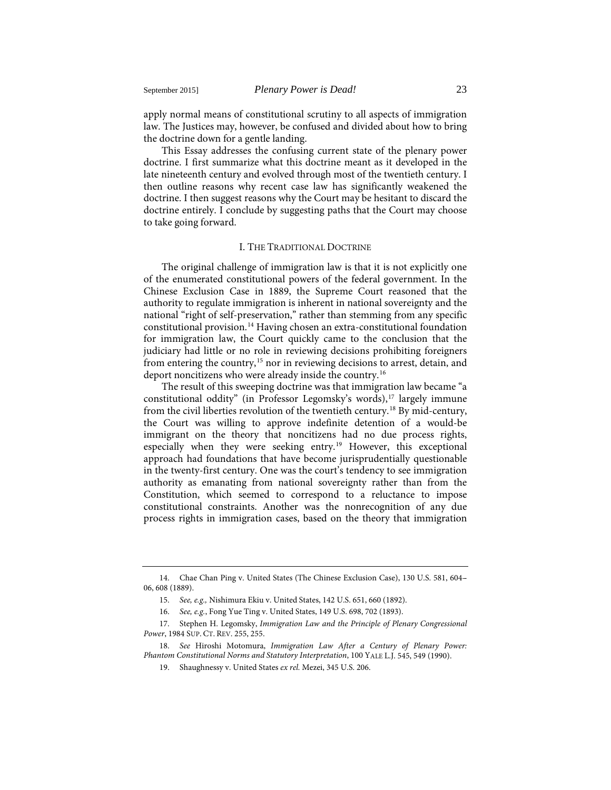apply normal means of constitutional scrutiny to all aspects of immigration law. The Justices may, however, be confused and divided about how to bring the doctrine down for a gentle landing.

This Essay addresses the confusing current state of the plenary power doctrine. I first summarize what this doctrine meant as it developed in the late nineteenth century and evolved through most of the twentieth century. I then outline reasons why recent case law has significantly weakened the doctrine. I then suggest reasons why the Court may be hesitant to discard the doctrine entirely. I conclude by suggesting paths that the Court may choose to take going forward.

### <span id="page-3-7"></span><span id="page-3-6"></span>I. THE TRADITIONAL DOCTRINE

The original challenge of immigration law is that it is not explicitly one of the enumerated constitutional powers of the federal government. In the Chinese Exclusion Case in 1889, the Supreme Court reasoned that the authority to regulate immigration is inherent in national sovereignty and the national "right of self-preservation," rather than stemming from any specific constitutional provision.[14](#page-3-0) Having chosen an extra-constitutional foundation for immigration law, the Court quickly came to the conclusion that the judiciary had little or no role in reviewing decisions prohibiting foreigners from entering the country,<sup>[15](#page-3-1)</sup> nor in reviewing decisions to arrest, detain, and deport noncitizens who were already inside the country.<sup>[16](#page-3-2)</sup>

The result of this sweeping doctrine was that immigration law became ''a constitutional oddity" (in Professor Legomsky's words),<sup>[17](#page-3-3)</sup> largely immune from the civil liberties revolution of the twentieth century[.18](#page-3-4) By mid-century, the Court was willing to approve indefinite detention of a would-be immigrant on the theory that noncitizens had no due process rights, especially when they were seeking entry.<sup>[19](#page-3-5)</sup> However, this exceptional approach had foundations that have become jurisprudentially questionable in the twenty-first century. One was the court's tendency to see immigration authority as emanating from national sovereignty rather than from the Constitution, which seemed to correspond to a reluctance to impose constitutional constraints. Another was the nonrecognition of any due process rights in immigration cases, based on the theory that immigration

<span id="page-3-1"></span><span id="page-3-0"></span><sup>14.</sup> Chae Chan Ping v. United States (The Chinese Exclusion Case), 130 U.S. 581, 604-- 06, 608 (1889).

<sup>15.</sup> *See, e.g.,* Nishimura Ekiu v. United States, 142 U.S. 651, 660 (1892).

<sup>16.</sup> *See, e.g.*, Fong Yue Ting v. United States, 149 U.S. 698, 702 (1893).

<span id="page-3-3"></span><span id="page-3-2"></span><sup>17.</sup> Stephen H. Legomsky, *Immigration Law and the Principle of Plenary Congressional Power*, 1984 SUP. CT. REV. 255, 255.

<span id="page-3-5"></span><span id="page-3-4"></span><sup>18.</sup> *See* Hiroshi Motomura, *Immigration Law After a Century of Plenary Power: Phantom Constitutional Norms and Statutory Interpretation*, 100 YALE L.J. 545, 549 (1990).

<sup>19.</sup> Shaughnessy v. United States *ex rel.* Mezei, 345 U.S. 206.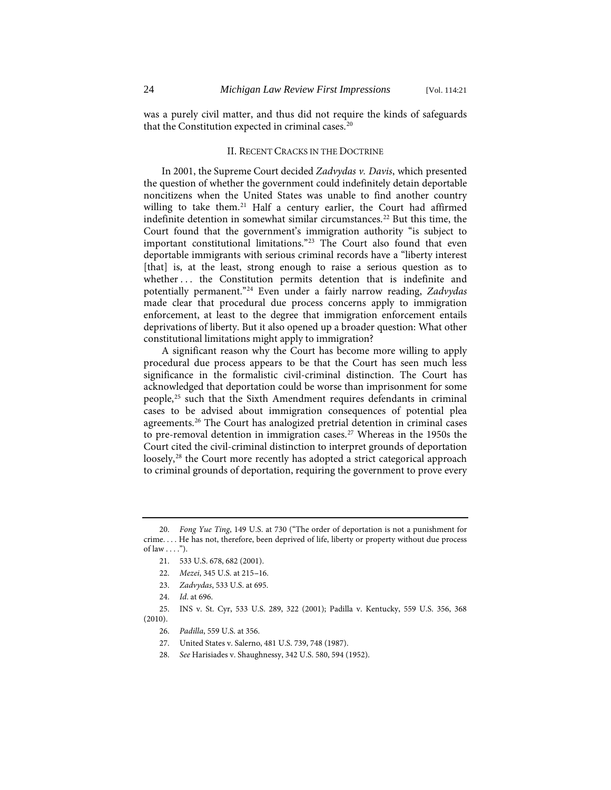was a purely civil matter, and thus did not require the kinds of safeguards that the Constitution expected in criminal cases.<sup>[20](#page-4-0)</sup>

#### II. RECENT CRACKS IN THE DOCTRINE

In 2001, the Supreme Court decided *Zadvydas v. Davis*, which presented the question of whether the government could indefinitely detain deportable noncitizens when the United States was unable to find another country willing to take them.<sup>[21](#page-4-1)</sup> Half a century earlier, the Court had affirmed indefinite detention in somewhat similar circumstances.<sup>[22](#page-4-2)</sup> But this time, the Court found that the government's immigration authority ''is subject to important constitutional limitations."<sup>[23](#page-4-3)</sup> The Court also found that even deportable immigrants with serious criminal records have a ''liberty interest [that] is, at the least, strong enough to raise a serious question as to whether ... the Constitution permits detention that is indefinite and potentially permanent.'['24](#page-4-4) Even under a fairly narrow reading, *Zadvydas* made clear that procedural due process concerns apply to immigration enforcement, at least to the degree that immigration enforcement entails deprivations of liberty. But it also opened up a broader question: What other constitutional limitations might apply to immigration?

A significant reason why the Court has become more willing to apply procedural due process appears to be that the Court has seen much less significance in the formalistic civil-criminal distinction. The Court has acknowledged that deportation could be worse than imprisonment for some people,[25](#page-4-5) such that the Sixth Amendment requires defendants in criminal cases to be advised about immigration consequences of potential plea agreements.<sup>[26](#page-4-6)</sup> The Court has analogized pretrial detention in criminal cases to pre-removal detention in immigration cases.<sup>[27](#page-4-7)</sup> Whereas in the 1950s the Court cited the civil-criminal distinction to interpret grounds of deportation loosely,<sup>[28](#page-4-8)</sup> the Court more recently has adopted a strict categorical approach to criminal grounds of deportation, requiring the government to prove every

<span id="page-4-1"></span><span id="page-4-0"></span><sup>20.</sup> *Fong Yue Ting*, 149 U.S. at 730 (''The order of deportation is not a punishment for crime. . . . He has not, therefore, been deprived of life, liberty or property without due process of law  $\dots$ ").

<sup>21. 533</sup> U.S. 678, 682 (2001).

<sup>22.</sup> *Mezei*, 345 U.S. at 215-16.

<sup>23.</sup> *Zadvydas*, 533 U.S. at 695.

<sup>24.</sup> *Id*. at 696.

<span id="page-4-8"></span><span id="page-4-7"></span><span id="page-4-6"></span><span id="page-4-5"></span><span id="page-4-4"></span><span id="page-4-3"></span><span id="page-4-2"></span><sup>25.</sup> INS v. St. Cyr, 533 U.S. 289, 322 (2001); Padilla v. Kentucky, 559 U.S. 356, 368 (2010).

<sup>26.</sup> *Padilla*, 559 U.S. at 356.

<sup>27.</sup> United States v. Salerno, 481 U.S. 739, 748 (1987).

<sup>28.</sup> *See* Harisiades v. Shaughnessy, 342 U.S. 580, 594 (1952).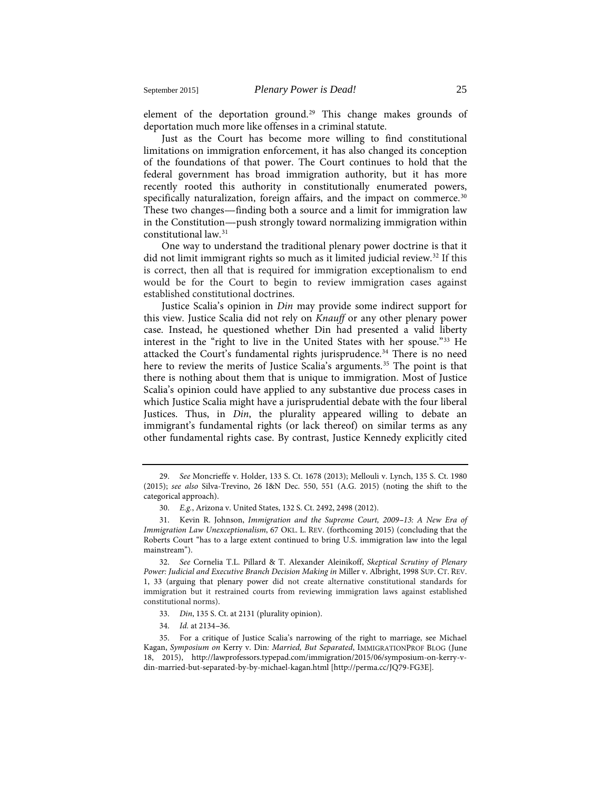element of the deportation ground.<sup>[29](#page-5-0)</sup> This change makes grounds of deportation much more like offenses in a criminal statute.

Just as the Court has become more willing to find constitutional limitations on immigration enforcement, it has also changed its conception of the foundations of that power. The Court continues to hold that the federal government has broad immigration authority, but it has more recently rooted this authority in constitutionally enumerated powers, specifically naturalization, foreign affairs, and the impact on commerce.<sup>[30](#page-5-1)</sup> These two changes—finding both a source and a limit for immigration law in the Constitution—-push strongly toward normalizing immigration within constitutional law.[31](#page-5-2)

<span id="page-5-7"></span>One way to understand the traditional plenary power doctrine is that it did not limit immigrant rights so much as it limited judicial review.<sup>[32](#page-5-3)</sup> If this is correct, then all that is required for immigration exceptionalism to end would be for the Court to begin to review immigration cases against established constitutional doctrines.

Justice Scalia's opinion in *Din* may provide some indirect support for this view. Justice Scalia did not rely on *Knauff* or any other plenary power case. Instead, he questioned whether Din had presented a valid liberty interest in the "right to live in the United States with her spouse."<sup>[33](#page-5-4)</sup> He attacked the Court's fundamental rights jurisprudence.<sup>[34](#page-5-5)</sup> There is no need here to review the merits of Justice Scalia's arguments.<sup>[35](#page-5-6)</sup> The point is that there is nothing about them that is unique to immigration. Most of Justice Scalia's opinion could have applied to any substantive due process cases in which Justice Scalia might have a jurisprudential debate with the four liberal Justices. Thus, in *Din*, the plurality appeared willing to debate an immigrant's fundamental rights (or lack thereof) on similar terms as any other fundamental rights case. By contrast, Justice Kennedy explicitly cited

33. *Din*, 135 S. Ct. at 2131 (plurality opinion).

<span id="page-5-0"></span><sup>29.</sup> *See* Moncrieffe v. Holder, 133 S. Ct. 1678 (2013); Mellouli v. Lynch, 135 S. Ct. 1980 (2015); *see also* Silva-Trevino, 26 I&N Dec. 550, 551 (A.G. 2015) (noting the shift to the categorical approach).

<sup>30.</sup> *E.g.*, Arizona v. United States, 132 S. Ct. 2492, 2498 (2012).

<span id="page-5-2"></span><span id="page-5-1"></span><sup>31.</sup> Kevin R. Johnson, *Immigration and the Supreme Court, 2009--13: A New Era of Immigration Law Unexceptionalism*, 67 OKL. L. REV. (forthcoming 2015) (concluding that the Roberts Court ''has to a large extent continued to bring U.S. immigration law into the legal mainstream").

<span id="page-5-3"></span><sup>32.</sup> *See* Cornelia T.L. Pillard & T. Alexander Aleinikoff, *Skeptical Scrutiny of Plenary Power: Judicial and Executive Branch Decision Making in* Miller v. Albright, 1998 SUP. CT. REV. 1, 33 (arguing that plenary power did not create alternative constitutional standards for immigration but it restrained courts from reviewing immigration laws against established constitutional norms).

<sup>34.</sup> *Id.* at 2134-36.

<span id="page-5-6"></span><span id="page-5-5"></span><span id="page-5-4"></span><sup>35.</sup> For a critique of Justice Scalia's narrowing of the right to marriage, see Michael Kagan, *Symposium on* Kerry v. Din*: Married, But Separated*, IMMIGRATIONPROF BLOG (June 18, 2015), http://lawprofessors.typepad.com/immigration/2015/06/symposium-on-kerry-vdin-married-but-separated-by-by-michael-kagan.html [http://perma.cc/JQ79-FG3E].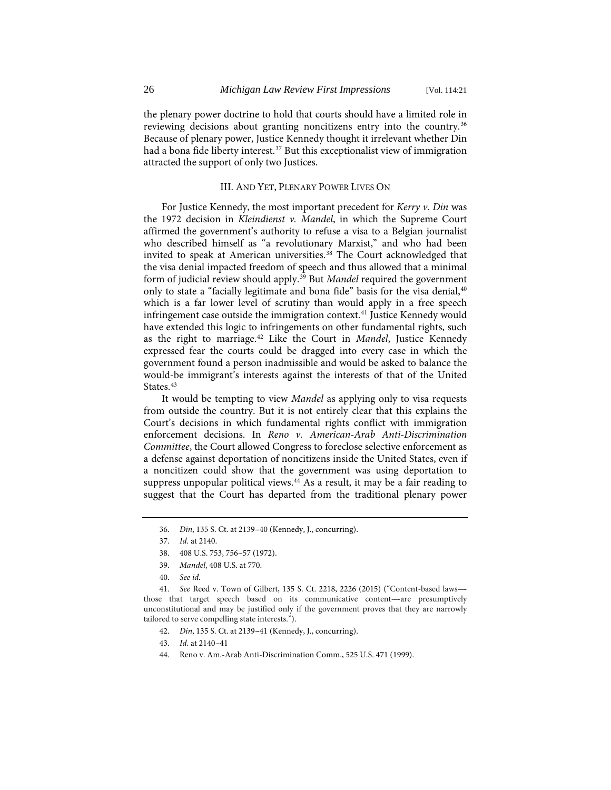the plenary power doctrine to hold that courts should have a limited role in reviewing decisions about granting noncitizens entry into the country.<sup>[36](#page-6-0)</sup> Because of plenary power, Justice Kennedy thought it irrelevant whether Din had a bona fide liberty interest.<sup>[37](#page-6-1)</sup> But this exceptionalist view of immigration attracted the support of only two Justices.

### III. AND YET, PLENARY POWER LIVES ON

For Justice Kennedy, the most important precedent for *Kerry v. Din* was the 1972 decision in *Kleindienst v. Mandel*, in which the Supreme Court affirmed the government's authority to refuse a visa to a Belgian journalist who described himself as "a revolutionary Marxist," and who had been invited to speak at American universities.<sup>[38](#page-6-2)</sup> The Court acknowledged that the visa denial impacted freedom of speech and thus allowed that a minimal form of judicial review should apply.[39](#page-6-3) But *Mandel* required the government only to state a "facially legitimate and bona fide" basis for the visa denial,<sup>[40](#page-6-4)</sup> which is a far lower level of scrutiny than would apply in a free speech infringement case outside the immigration context.<sup>[41](#page-6-5)</sup> Justice Kennedy would have extended this logic to infringements on other fundamental rights, such as the right to marriage.[42](#page-6-6) Like the Court in *Mandel*, Justice Kennedy expressed fear the courts could be dragged into every case in which the government found a person inadmissible and would be asked to balance the would-be immigrant's interests against the interests of that of the United States.<sup>[43](#page-6-7)</sup>

It would be tempting to view *Mandel* as applying only to visa requests from outside the country. But it is not entirely clear that this explains the Court's decisions in which fundamental rights conflict with immigration enforcement decisions. In *Reno v. American-Arab Anti-Discrimination Committee*, the Court allowed Congress to foreclose selective enforcement as a defense against deportation of noncitizens inside the United States, even if a noncitizen could show that the government was using deportation to suppress unpopular political views.<sup>44</sup> As a result, it may be a fair reading to suggest that the Court has departed from the traditional plenary power

- 39. *Mandel*, 408 U.S. at 770.
- 40. *See id.*

<span id="page-6-8"></span><span id="page-6-7"></span><span id="page-6-6"></span><span id="page-6-5"></span><span id="page-6-4"></span><span id="page-6-3"></span><span id="page-6-2"></span><span id="page-6-1"></span><span id="page-6-0"></span>41. *See* Reed v. Town of Gilbert, 135 S. Ct. 2218, 2226 (2015) ("Content-based laws--those that target speech based on its communicative content---are presumptively unconstitutional and may be justified only if the government proves that they are narrowly tailored to serve compelling state interests.'').

- 42. *Din*, 135 S. Ct. at 2139-41 (Kennedy, J., concurring).
- 43. *Id.* at 2140-41
- 44. Reno v. Am.-Arab Anti-Discrimination Comm., 525 U.S. 471 (1999).

<sup>36.</sup> *Din*, 135 S. Ct. at 2139-40 (Kennedy, J., concurring).

<sup>37.</sup> *Id.* at 2140.

<sup>38. 408</sup> U.S. 753, 756-57 (1972).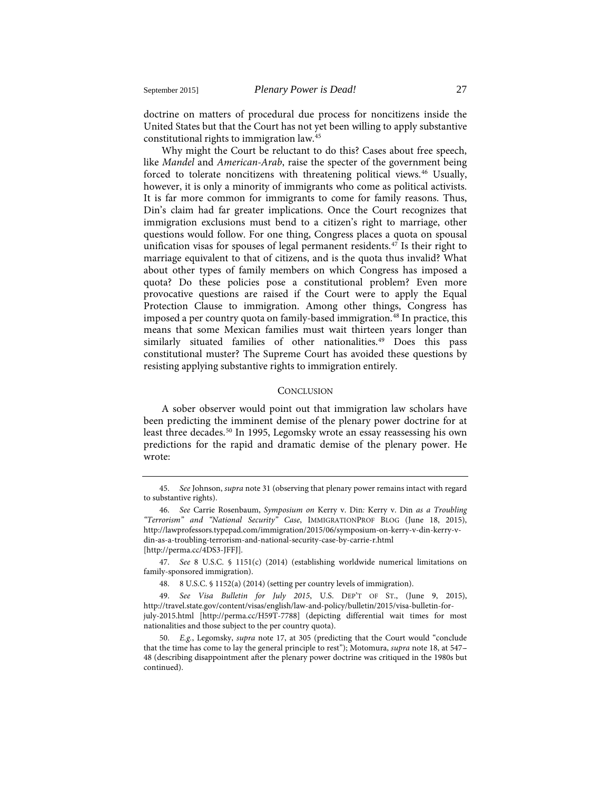doctrine on matters of procedural due process for noncitizens inside the United States but that the Court has not yet been willing to apply substantive constitutional rights to immigration law.[45](#page-7-0)

Why might the Court be reluctant to do this? Cases about free speech, like *Mandel* and *American-Arab*, raise the specter of the government being forced to tolerate noncitizens with threatening political views. [46](#page-7-1) Usually, however, it is only a minority of immigrants who come as political activists. It is far more common for immigrants to come for family reasons. Thus, Din's claim had far greater implications. Once the Court recognizes that immigration exclusions must bend to a citizen's right to marriage, other questions would follow. For one thing, Congress places a quota on spousal unification visas for spouses of legal permanent residents.<sup>[47](#page-7-2)</sup> Is their right to marriage equivalent to that of citizens, and is the quota thus invalid? What about other types of family members on which Congress has imposed a quota? Do these policies pose a constitutional problem? Even more provocative questions are raised if the Court were to apply the Equal Protection Clause to immigration. Among other things, Congress has imposed a per country quota on family-based immigration.<sup>[48](#page-7-3)</sup> In practice, this means that some Mexican families must wait thirteen years longer than similarly situated families of other nationalities.<sup>[49](#page-7-4)</sup> Does this pass constitutional muster? The Supreme Court has avoided these questions by resisting applying substantive rights to immigration entirely.

### **CONCLUSION**

A sober observer would point out that immigration law scholars have been predicting the imminent demise of the plenary power doctrine for at least three decades.<sup>[50](#page-7-5)</sup> In 1995, Legomsky wrote an essay reassessing his own predictions for the rapid and dramatic demise of the plenary power. He wrote:

<span id="page-7-0"></span><sup>45.</sup> *See* Johnson, *supra* not[e 31](#page-5-7) (observing that plenary power remains intact with regard to substantive rights).

<span id="page-7-1"></span><sup>46.</sup> *See* Carrie Rosenbaum, *Symposium on* Kerry v. Din*:* Kerry v. Din *as a Troubling ''Terrorism'' and ''National Security'' Case*, IMMIGRATIONPROF BLOG (June 18, 2015), http://lawprofessors.typepad.com/immigration/2015/06/symposium-on-kerry-v-din-kerry-vdin-as-a-troubling-terrorism-and-national-security-case-by-carrie-r.html [http://perma.cc/4DS3-JFFJ].

<span id="page-7-2"></span><sup>47.</sup> *See* 8 U.S.C. § 1151(c) (2014) (establishing worldwide numerical limitations on family-sponsored immigration).

<sup>48. 8</sup> U.S.C. § 1152(a) (2014) (setting per country levels of immigration).

<span id="page-7-4"></span><span id="page-7-3"></span><sup>49.</sup> *See Visa Bulletin for July 2015*, U.S. DEP'T OF ST., (June 9, 2015), http://travel.state.gov/content/visas/english/law-and-policy/bulletin/2015/visa-bulletin-forjuly-2015.html [http://perma.cc/H59T-7788] (depicting differential wait times for most nationalities and those subject to the per country quota).

<span id="page-7-5"></span><sup>50.</sup> *E.g.*, Legomsky, *supra* note [17,](#page-3-6) at 305 (predicting that the Court would ''conclude that the time has come to lay the general principle to rest''); Motomura, *supra* not[e 18,](#page-3-7) at 547-- 48 (describing disappointment after the plenary power doctrine was critiqued in the 1980s but continued).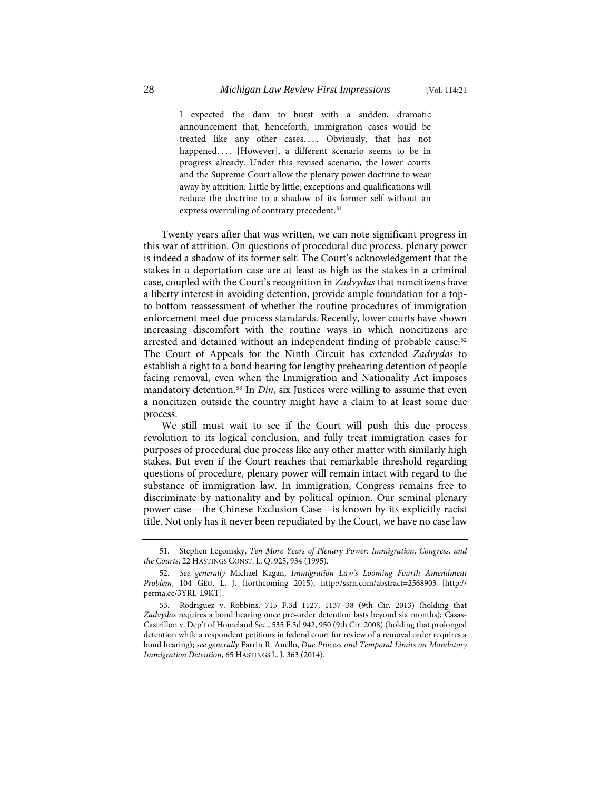I expected the dam to burst with a sudden, dramatic announcement that, henceforth, immigration cases would be treated like any other cases.... Obviously, that has not happened. . . . [However], a different scenario seems to be in progress already. Under this revised scenario, the lower courts and the Supreme Court allow the plenary power doctrine to wear away by attrition. Little by little, exceptions and qualifications will reduce the doctrine to a shadow of its former self without an express overruling of contrary precedent.<sup>[51](#page-8-0)</sup>

Twenty years after that was written, we can note significant progress in this war of attrition. On questions of procedural due process, plenary power is indeed a shadow of its former self. The Court's acknowledgement that the stakes in a deportation case are at least as high as the stakes in a criminal case, coupled with the Court's recognition in *Zadvydas* that noncitizens have a liberty interest in avoiding detention, provide ample foundation for a topto-bottom reassessment of whether the routine procedures of immigration enforcement meet due process standards. Recently, lower courts have shown increasing discomfort with the routine ways in which noncitizens are arrested and detained without an independent finding of probable cause.<sup>[52](#page-8-1)</sup> The Court of Appeals for the Ninth Circuit has extended *Zadvydas* to establish a right to a bond hearing for lengthy prehearing detention of people facing removal, even when the Immigration and Nationality Act imposes mandatory detention.<sup>[53](#page-8-2)</sup> In *Din*, six Justices were willing to assume that even a noncitizen outside the country might have a claim to at least some due process.

We still must wait to see if the Court will push this due process revolution to its logical conclusion, and fully treat immigration cases for purposes of procedural due process like any other matter with similarly high stakes. But even if the Court reaches that remarkable threshold regarding questions of procedure, plenary power will remain intact with regard to the substance of immigration law. In immigration, Congress remains free to discriminate by nationality and by political opinion. Our seminal plenary power case—the Chinese Exclusion Case—is known by its explicitly racist title. Not only has it never been repudiated by the Court, we have no case law

<span id="page-8-0"></span><sup>51.</sup> Stephen Legomsky, *Ten More Years of Plenary Power: Immigration, Congress, and the Courts*, 22 HASTINGS CONST. L. Q. 925, 934 (1995).

<span id="page-8-1"></span><sup>52.</sup> *See generally* Michael Kagan, *Immigration Law's Looming Fourth Amendment Problem*, 104 GEO. L. J. (forthcoming 2015), http://ssrn.com/abstract=2568903 [http:// perma.cc/3YRL-L9KT].

<span id="page-8-2"></span><sup>53.</sup> Rodriguez v. Robbins, 715 F.3d 1127, 1137--38 (9th Cir. 2013) (holding that *Zadvydas* requires a bond hearing once pre-order detention lasts beyond six months); Casas-Castrillon v. Dep't of Homeland Sec., 535 F.3d 942, 950 (9th Cir. 2008) (holding that prolonged detention while a respondent petitions in federal court for review of a removal order requires a bond hearing); *see generally* Farrin R. Anello, *Due Process and Temporal Limits on Mandatory Immigration Detention*, 65 HASTINGS L. J. 363 (2014).